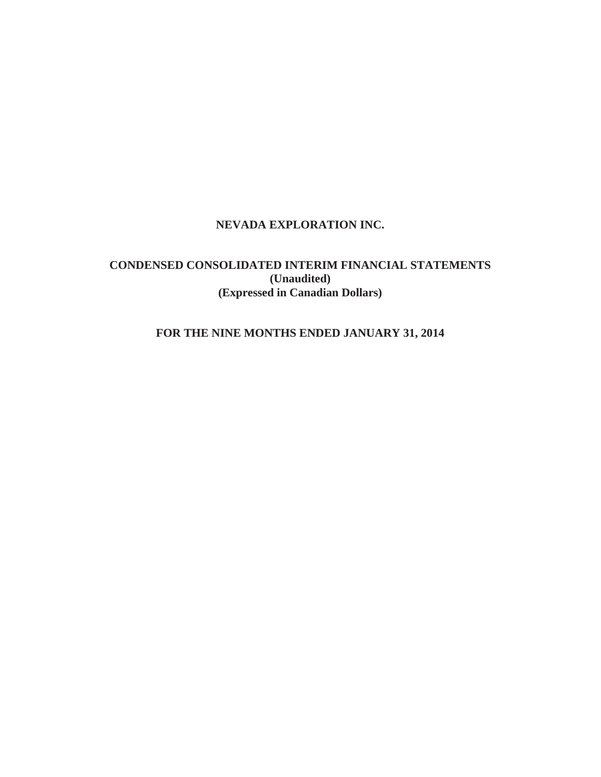# **NEVADA EXPLORATION INC.**

# **CONDENSED CONSOLIDATED INTERIM FINANCIAL STATEMENTS (Unaudited) (Expressed in Canadian Dollars)**

# **FOR THE NINE MONTHS ENDED JANUARY 31, 2014**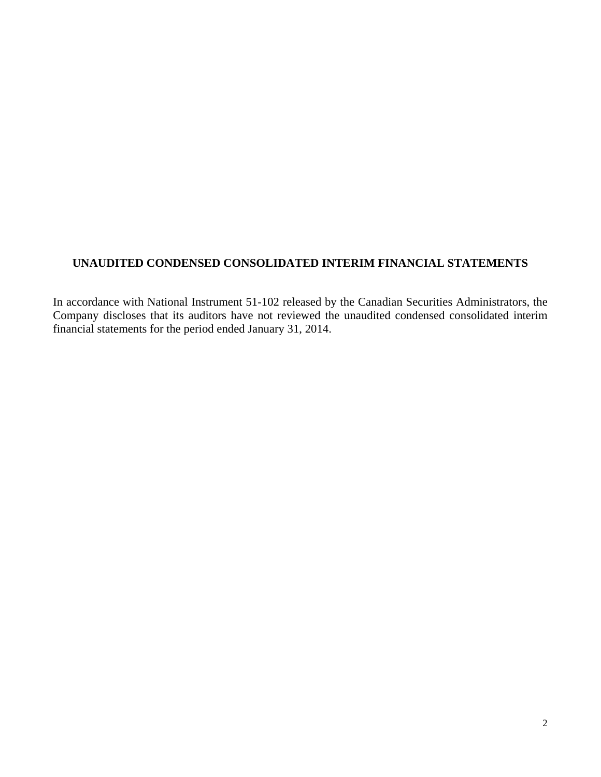# **UNAUDITED CONDENSED CONSOLIDATED INTERIM FINANCIAL STATEMENTS**

In accordance with National Instrument 51-102 released by the Canadian Securities Administrators, the Company discloses that its auditors have not reviewed the unaudited condensed consolidated interim financial statements for the period ended January 31, 2014.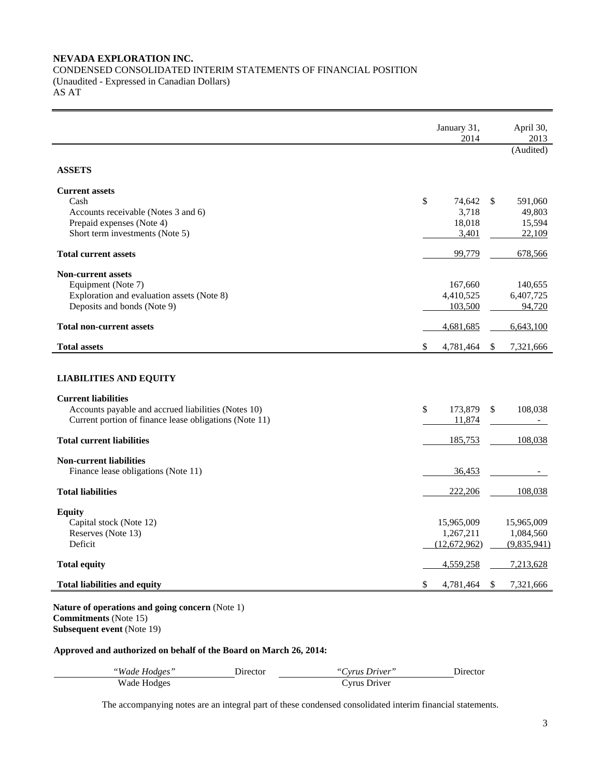## **NEVADA EXPLORATION INC.**  CONDENSED CONSOLIDATED INTERIM STATEMENTS OF FINANCIAL POSITION (Unaudited - Expressed in Canadian Dollars) AS AT

|                                                        | January 31,<br>2014       | April 30,<br>2013        |
|--------------------------------------------------------|---------------------------|--------------------------|
|                                                        |                           | (Audited)                |
| <b>ASSETS</b>                                          |                           |                          |
| <b>Current assets</b>                                  |                           |                          |
| Cash                                                   | \$<br>74,642<br>\$        | 591,060                  |
| Accounts receivable (Notes 3 and 6)                    | 3,718                     | 49,803                   |
| Prepaid expenses (Note 4)                              | 18,018                    | 15,594                   |
| Short term investments (Note 5)                        | 3,401                     | 22,109                   |
| <b>Total current assets</b>                            | 99,779                    | 678,566                  |
| <b>Non-current assets</b>                              |                           |                          |
| Equipment (Note 7)                                     | 167,660                   | 140,655                  |
| Exploration and evaluation assets (Note 8)             | 4,410,525                 | 6,407,725                |
| Deposits and bonds (Note 9)                            | 103,500                   | 94,720                   |
| <b>Total non-current assets</b>                        | 4,681,685                 | 6,643,100                |
| <b>Total assets</b>                                    | \$<br>4,781,464<br>\$     | 7,321,666                |
| <b>LIABILITIES AND EQUITY</b>                          |                           |                          |
| <b>Current liabilities</b>                             |                           |                          |
|                                                        | \$<br>173,879<br>\$       | 108,038                  |
|                                                        |                           |                          |
| Accounts payable and accrued liabilities (Notes 10)    |                           |                          |
| Current portion of finance lease obligations (Note 11) | 11,874                    |                          |
| <b>Total current liabilities</b>                       | 185,753                   | 108,038                  |
| <b>Non-current liabilities</b>                         |                           |                          |
| Finance lease obligations (Note 11)                    | 36,453                    |                          |
| <b>Total liabilities</b>                               | 222,206                   | 108,038                  |
|                                                        |                           |                          |
| <b>Equity</b>                                          |                           |                          |
| Capital stock (Note 12)                                | 15,965,009                | 15,965,009               |
| Reserves (Note 13)<br>Deficit                          | 1,267,211<br>(12,672,962) | 1,084,560                |
| <b>Total equity</b>                                    | 4,559,258                 | (9,835,941)<br>7,213,628 |

**Nature of operations and going concern** (Note 1) **Commitments** (Note 15) **Subsequent event** (Note 19)

 $\overline{a}$ 

# **Approved and authorized on behalf of the Board on March 26, 2014:**

| "Wade Hodges" | Director | "Cyrus Driver" | Director |
|---------------|----------|----------------|----------|
| Wade Hodges   |          | Cyrus Driver   |          |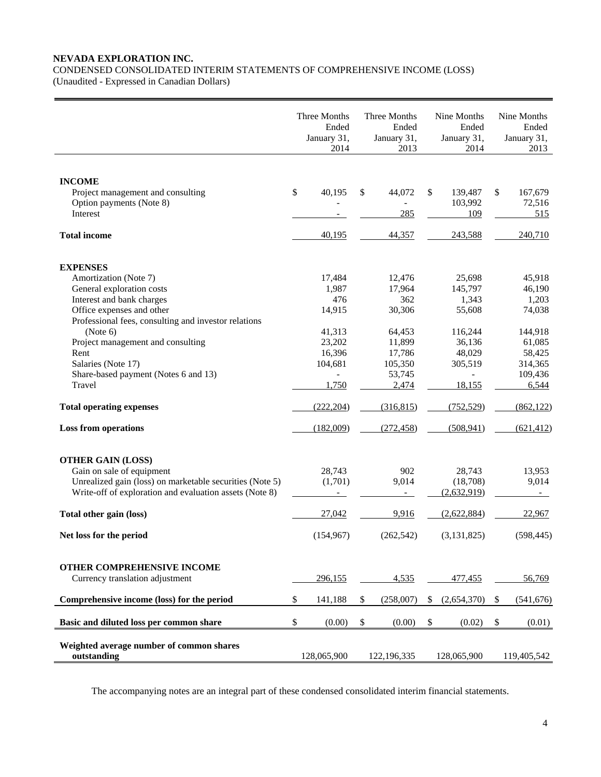## **NEVADA EXPLORATION INC.**

CONDENSED CONSOLIDATED INTERIM STATEMENTS OF COMPREHENSIVE INCOME (LOSS) (Unaudited - Expressed in Canadian Dollars)

|                                                                                                                                                                                                                                                                                                                                                             | Three Months<br>Ended<br>January 31,<br>2014                                                                                 | Three Months<br>Ended<br>January 31,<br>2013                                                                | Nine Months<br>Ended<br>January 31,<br>2014                                                                                        | Nine Months<br>Ended<br>January 31,<br>2013                                                                     |
|-------------------------------------------------------------------------------------------------------------------------------------------------------------------------------------------------------------------------------------------------------------------------------------------------------------------------------------------------------------|------------------------------------------------------------------------------------------------------------------------------|-------------------------------------------------------------------------------------------------------------|------------------------------------------------------------------------------------------------------------------------------------|-----------------------------------------------------------------------------------------------------------------|
| <b>INCOME</b><br>Project management and consulting<br>Option payments (Note 8)<br>Interest                                                                                                                                                                                                                                                                  | \$<br>40,195                                                                                                                 | \$<br>44,072<br>285                                                                                         | \$<br>139,487<br>103,992<br>109                                                                                                    | \$<br>167,679<br>72,516<br>515                                                                                  |
| <b>Total income</b>                                                                                                                                                                                                                                                                                                                                         | 40,195                                                                                                                       | 44,357                                                                                                      | 243,588                                                                                                                            | 240,710                                                                                                         |
| <b>EXPENSES</b><br>Amortization (Note 7)<br>General exploration costs<br>Interest and bank charges<br>Office expenses and other<br>Professional fees, consulting and investor relations<br>(Note 6)<br>Project management and consulting<br>Rent<br>Salaries (Note 17)<br>Share-based payment (Notes 6 and 13)<br>Travel<br><b>Total operating expenses</b> | 17,484<br>1,987<br>476<br>14,915<br>41,313<br>23,202<br>16,396<br>104,681<br>$\overline{\phantom{0}}$<br>1,750<br>(222, 204) | 12,476<br>17,964<br>362<br>30,306<br>64,453<br>11,899<br>17,786<br>105,350<br>53,745<br>2,474<br>(316, 815) | 25,698<br>145,797<br>1,343<br>55,608<br>116,244<br>36,136<br>48,029<br>305,519<br>$\overline{\phantom{a}}$<br>18,155<br>(752, 529) | 45,918<br>46,190<br>1,203<br>74,038<br>144,918<br>61,085<br>58,425<br>314,365<br>109,436<br>6,544<br>(862, 122) |
| <b>Loss from operations</b>                                                                                                                                                                                                                                                                                                                                 | (182,009)                                                                                                                    | (272, 458)                                                                                                  | (508, 941)                                                                                                                         | (621, 412)                                                                                                      |
| <b>OTHER GAIN (LOSS)</b><br>Gain on sale of equipment<br>Unrealized gain (loss) on marketable securities (Note 5)<br>Write-off of exploration and evaluation assets (Note 8)<br>Total other gain (loss)<br>Net loss for the period                                                                                                                          | 28,743<br>(1,701)<br>27,042<br>(154, 967)                                                                                    | 902<br>9,014<br>$\equiv$<br>9,916<br>(262, 542)                                                             | 28,743<br>(18,708)<br>(2,632,919)<br>(2,622,884)<br>(3, 131, 825)                                                                  | 13,953<br>9,014<br>22,967<br>(598, 445)                                                                         |
| OTHER COMPREHENSIVE INCOME<br>Currency translation adjustment<br>Comprehensive income (loss) for the period                                                                                                                                                                                                                                                 | \$<br>296,155<br>141,188                                                                                                     | \$<br>4,535<br>(258,007)                                                                                    | \$<br>477,455<br>(2,654,370)                                                                                                       | \$<br>56,769<br>(541, 676)                                                                                      |
| Basic and diluted loss per common share                                                                                                                                                                                                                                                                                                                     | \$<br>(0.00)                                                                                                                 | \$<br>(0.00)                                                                                                | \$<br>(0.02)                                                                                                                       | \$<br>(0.01)                                                                                                    |
| Weighted average number of common shares<br>outstanding                                                                                                                                                                                                                                                                                                     | 128,065,900                                                                                                                  | 122,196,335                                                                                                 | 128,065,900                                                                                                                        | 119,405,542                                                                                                     |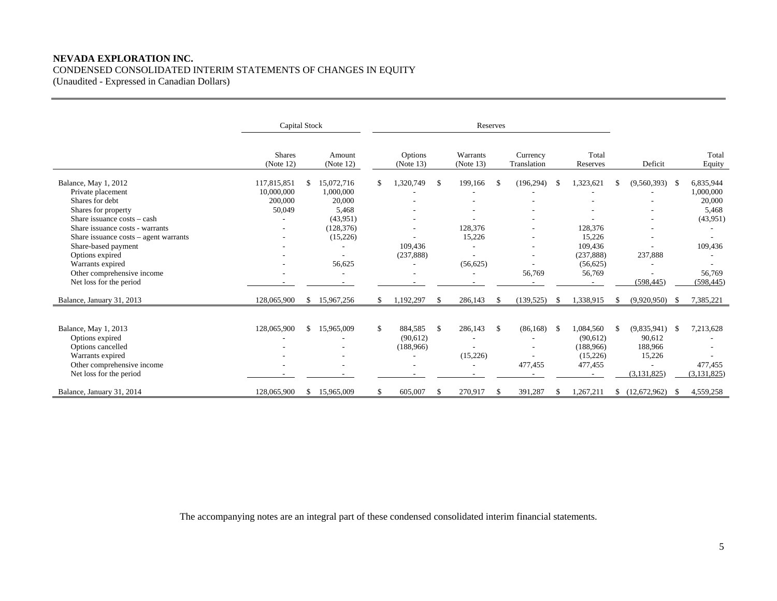## **NEVADA EXPLORATION INC.**  CONDENSED CONSOLIDATED INTERIM STATEMENTS OF CHANGES IN EQUITY (Unaudited - Expressed in Canadian Dollars)

|                                            | Capital Stock              |     |                     | Reserves |                      |               |                       |               |                         |  |                   |     |                  |      |                 |
|--------------------------------------------|----------------------------|-----|---------------------|----------|----------------------|---------------|-----------------------|---------------|-------------------------|--|-------------------|-----|------------------|------|-----------------|
|                                            | <b>Shares</b><br>(Note 12) |     | Amount<br>(Note 12) |          | Options<br>(Note 13) |               | Warrants<br>(Note 13) |               | Currency<br>Translation |  | Total<br>Reserves |     | Deficit          |      | Total<br>Equity |
| Balance, May 1, 2012                       | 117,815,851                |     | 15,072,716          | \$       | 1,320,749            | -S            | 199,166               | \$.           | (196, 294)              |  | 1,323,621         | \$. | $(9,560,393)$ \$ |      | 6,835,944       |
| Private placement                          | 10,000,000                 |     | 1,000,000           |          |                      |               |                       |               |                         |  |                   |     |                  |      | 1,000,000       |
| Shares for debt                            | 200,000                    |     | 20,000              |          |                      |               |                       |               |                         |  |                   |     |                  |      | 20,000          |
| Shares for property                        | 50,049                     |     | 5,468               |          |                      |               |                       |               |                         |  |                   |     |                  |      | 5,468           |
| Share issuance costs - cash                |                            |     | (43,951)            |          |                      |               |                       |               |                         |  |                   |     |                  |      | (43,951)        |
| Share issuance costs - warrants            |                            |     | (128, 376)          |          |                      |               | 128,376               |               |                         |  | 128,376           |     |                  |      |                 |
| Share issuance $costs - agent \, warrants$ |                            |     | (15,226)            |          |                      |               | 15,226                |               |                         |  | 15,226            |     |                  |      |                 |
| Share-based payment                        |                            |     |                     |          | 109,436              |               |                       |               |                         |  | 109,436           |     |                  |      | 109,436         |
| Options expired                            |                            |     |                     |          | (237, 888)           |               |                       |               | ٠                       |  | (237, 888)        |     | 237,888          |      |                 |
| Warrants expired                           |                            |     | 56,625              |          |                      |               | (56, 625)             |               |                         |  | (56, 625)         |     |                  |      |                 |
| Other comprehensive income                 |                            |     |                     |          |                      |               |                       |               | 56,769                  |  | 56,769            |     |                  |      | 56,769          |
| Net loss for the period                    |                            |     |                     |          |                      |               |                       |               |                         |  |                   |     | (598, 445)       |      | (598, 445)      |
| Balance, January 31, 2013                  | 128,065,900                | \$. | 15,967,256          |          | 1,192,297            | $\mathcal{S}$ | 286,143               | \$            | (139, 525)              |  | 1,338,915         | £.  | (9,920,950)      | - \$ | 7,385,221       |
|                                            |                            |     |                     |          |                      |               |                       |               |                         |  |                   |     |                  |      |                 |
| Balance, May 1, 2013                       | 128,065,900                | \$  | 15,965,009          | \$       | 884,585              | <sup>\$</sup> | 286,143               | $\mathbb{S}$  | $(86, 168)$ \$          |  | 1,084,560         | S.  | (9,835,941)      | -S   | 7,213,628       |
| Options expired                            |                            |     |                     |          | (90,612)             |               |                       |               |                         |  | (90,612)          |     | 90,612           |      |                 |
| Options cancelled                          |                            |     |                     |          | (188, 966)           |               |                       |               |                         |  | (188,966)         |     | 188,966          |      |                 |
| Warrants expired                           |                            |     |                     |          |                      |               | (15,226)              |               | $\overline{a}$          |  | (15,226)          |     | 15,226           |      |                 |
| Other comprehensive income                 |                            |     |                     |          |                      |               |                       |               | 477,455                 |  | 477,455           |     |                  |      | 477,455         |
| Net loss for the period                    |                            |     |                     |          |                      |               |                       |               |                         |  |                   |     | (3, 131, 825)    |      | (3, 131, 825)   |
| Balance, January 31, 2014                  | 128,065,900                | S.  | 15,965,009          | S        | 605,007              | \$            | 270,917               | <sup>\$</sup> | 391,287                 |  | 1,267,211         |     | (12,672,962)     | - \$ | 4,559,258       |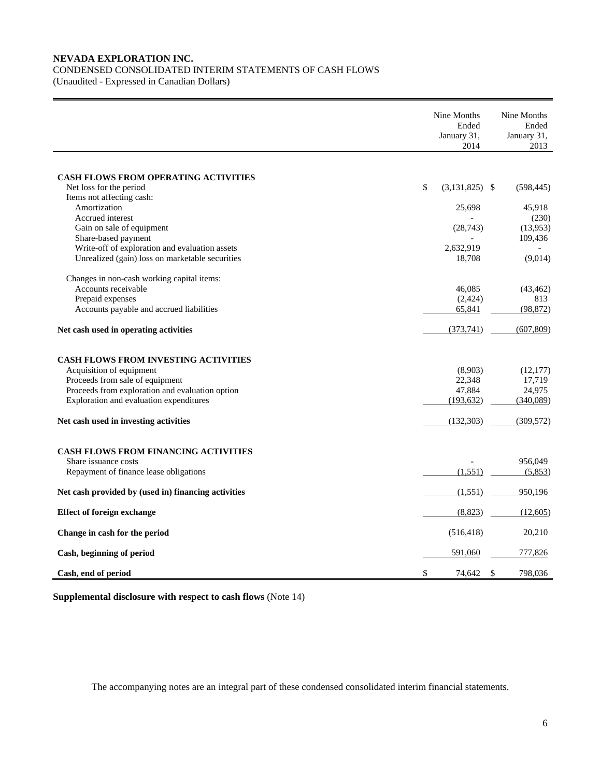# **NEVADA EXPLORATION INC.**  CONDENSED CONSOLIDATED INTERIM STATEMENTS OF CASH FLOWS

(Unaudited - Expressed in Canadian Dollars)

|                                                                                    | Nine Months<br>Ended<br>January 31,<br>2014 | Nine Months<br>Ended<br>January 31,<br>2013 |
|------------------------------------------------------------------------------------|---------------------------------------------|---------------------------------------------|
|                                                                                    |                                             |                                             |
| CASH FLOWS FROM OPERATING ACTIVITIES                                               |                                             |                                             |
| Net loss for the period                                                            | \$<br>$(3,131,825)$ \$                      | (598, 445)                                  |
| Items not affecting cash:                                                          |                                             |                                             |
| Amortization                                                                       | 25,698                                      | 45,918                                      |
| Accrued interest                                                                   |                                             | (230)                                       |
| Gain on sale of equipment                                                          | (28, 743)                                   | (13,953)                                    |
| Share-based payment                                                                |                                             | 109,436                                     |
| Write-off of exploration and evaluation assets                                     | 2,632,919                                   |                                             |
| Unrealized (gain) loss on marketable securities                                    | 18,708                                      | (9,014)                                     |
|                                                                                    |                                             |                                             |
| Changes in non-cash working capital items:<br>Accounts receivable                  | 46,085                                      | (43, 462)                                   |
| Prepaid expenses                                                                   | (2, 424)                                    | 813                                         |
| Accounts payable and accrued liabilities                                           | 65,841                                      | (98, 872)                                   |
|                                                                                    |                                             |                                             |
| Net cash used in operating activities                                              | (373, 741)                                  | (607, 809)                                  |
| <b>CASH FLOWS FROM INVESTING ACTIVITIES</b>                                        |                                             |                                             |
|                                                                                    |                                             |                                             |
| Acquisition of equipment                                                           | (8,903)                                     | (12, 177)                                   |
| Proceeds from sale of equipment<br>Proceeds from exploration and evaluation option | 22,348<br>47,884                            | 17,719<br>24,975                            |
|                                                                                    |                                             |                                             |
| Exploration and evaluation expenditures                                            | (193, 632)                                  | (340,089)                                   |
| Net cash used in investing activities                                              | (132, 303)                                  | (309, 572)                                  |
|                                                                                    |                                             |                                             |
| <b>CASH FLOWS FROM FINANCING ACTIVITIES</b>                                        |                                             |                                             |
| Share issuance costs                                                               |                                             | 956,049                                     |
| Repayment of finance lease obligations                                             | (1, 551)                                    | (5,853)                                     |
| Net cash provided by (used in) financing activities                                | (1,551)                                     | 950,196                                     |
| <b>Effect of foreign exchange</b>                                                  | (8, 823)                                    | (12,605)                                    |
| Change in cash for the period                                                      | (516, 418)                                  | 20,210                                      |
| Cash, beginning of period                                                          | 591,060                                     | 777,826                                     |
| Cash, end of period                                                                | \$<br>74,642                                | \$<br>798.036                               |

**Supplemental disclosure with respect to cash flows** (Note 14)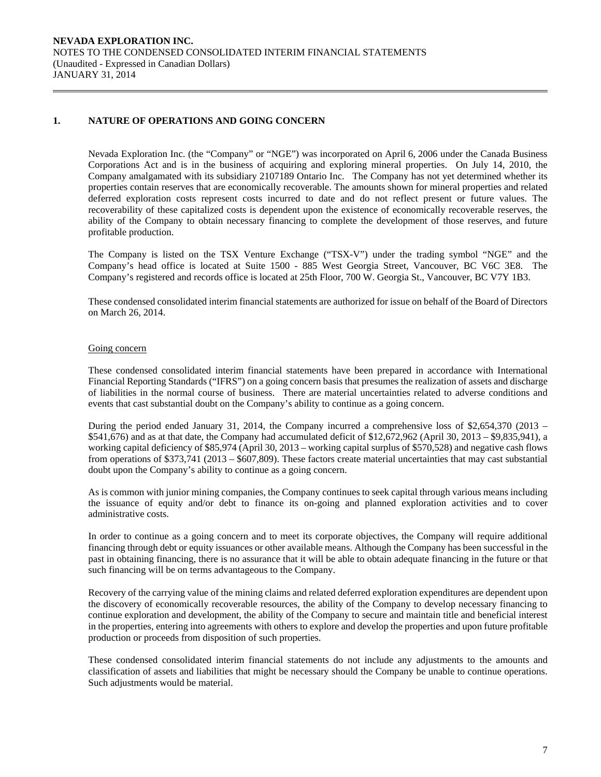## **1. NATURE OF OPERATIONS AND GOING CONCERN**

Nevada Exploration Inc. (the "Company" or "NGE") was incorporated on April 6, 2006 under the Canada Business Corporations Act and is in the business of acquiring and exploring mineral properties. On July 14, 2010, the Company amalgamated with its subsidiary 2107189 Ontario Inc. The Company has not yet determined whether its properties contain reserves that are economically recoverable. The amounts shown for mineral properties and related deferred exploration costs represent costs incurred to date and do not reflect present or future values. The recoverability of these capitalized costs is dependent upon the existence of economically recoverable reserves, the ability of the Company to obtain necessary financing to complete the development of those reserves, and future profitable production.

The Company is listed on the TSX Venture Exchange ("TSX-V") under the trading symbol "NGE" and the Company's head office is located at Suite 1500 - 885 West Georgia Street, Vancouver, BC V6C 3E8. The Company's registered and records office is located at 25th Floor, 700 W. Georgia St., Vancouver, BC V7Y 1B3.

 These condensed consolidated interim financial statements are authorized for issue on behalf of the Board of Directors on March 26, 2014.

#### Going concern

These condensed consolidated interim financial statements have been prepared in accordance with International Financial Reporting Standards ("IFRS") on a going concern basis that presumes the realization of assets and discharge of liabilities in the normal course of business. There are material uncertainties related to adverse conditions and events that cast substantial doubt on the Company's ability to continue as a going concern.

During the period ended January 31, 2014, the Company incurred a comprehensive loss of \$2,654,370 (2013 – \$541,676) and as at that date, the Company had accumulated deficit of \$12,672,962 (April 30, 2013 – \$9,835,941), a working capital deficiency of \$85,974 (April 30, 2013 – working capital surplus of \$570,528) and negative cash flows from operations of \$373,741 (2013 – \$607,809). These factors create material uncertainties that may cast substantial doubt upon the Company's ability to continue as a going concern.

As is common with junior mining companies, the Company continues to seek capital through various means including the issuance of equity and/or debt to finance its on-going and planned exploration activities and to cover administrative costs.

In order to continue as a going concern and to meet its corporate objectives, the Company will require additional financing through debt or equity issuances or other available means. Although the Company has been successful in the past in obtaining financing, there is no assurance that it will be able to obtain adequate financing in the future or that such financing will be on terms advantageous to the Company.

 Recovery of the carrying value of the mining claims and related deferred exploration expenditures are dependent upon the discovery of economically recoverable resources, the ability of the Company to develop necessary financing to continue exploration and development, the ability of the Company to secure and maintain title and beneficial interest in the properties, entering into agreements with others to explore and develop the properties and upon future profitable production or proceeds from disposition of such properties.

 These condensed consolidated interim financial statements do not include any adjustments to the amounts and classification of assets and liabilities that might be necessary should the Company be unable to continue operations. Such adjustments would be material.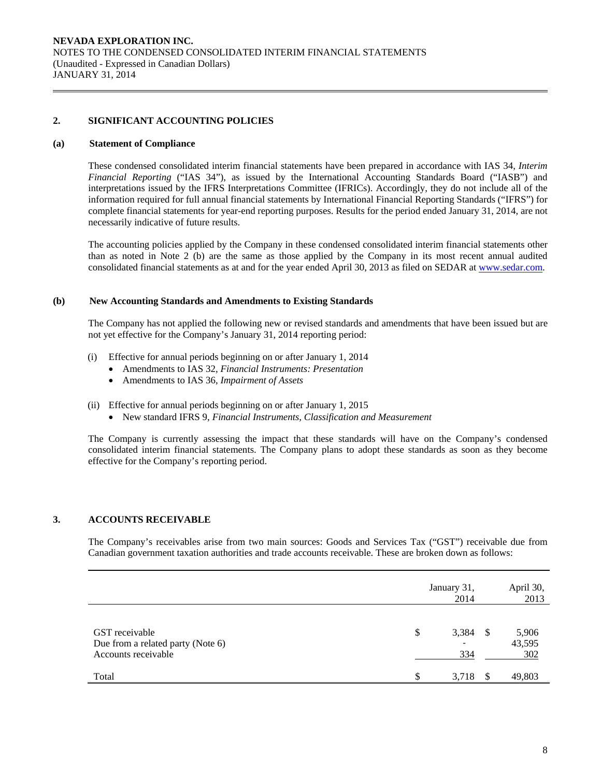## **2. SIGNIFICANT ACCOUNTING POLICIES**

#### **(a) Statement of Compliance**

 These condensed consolidated interim financial statements have been prepared in accordance with IAS 34, *Interim Financial Reporting* ("IAS 34"), as issued by the International Accounting Standards Board ("IASB") and interpretations issued by the IFRS Interpretations Committee (IFRICs). Accordingly, they do not include all of the information required for full annual financial statements by International Financial Reporting Standards ("IFRS") for complete financial statements for year-end reporting purposes. Results for the period ended January 31, 2014, are not necessarily indicative of future results.

 The accounting policies applied by the Company in these condensed consolidated interim financial statements other than as noted in Note 2 (b) are the same as those applied by the Company in its most recent annual audited consolidated financial statements as at and for the year ended April 30, 2013 as filed on SEDAR at www.sedar.com.

### **(b) New Accounting Standards and Amendments to Existing Standards**

 The Company has not applied the following new or revised standards and amendments that have been issued but are not yet effective for the Company's January 31, 2014 reporting period:

- (i) Effective for annual periods beginning on or after January 1, 2014
	- Amendments to IAS 32, *Financial Instruments: Presentation*
	- Amendments to IAS 36, *Impairment of Assets*
- (ii) Effective for annual periods beginning on or after January 1, 2015
	- New standard IFRS 9, *Financial Instruments, Classification and Measurement*

The Company is currently assessing the impact that these standards will have on the Company's condensed consolidated interim financial statements. The Company plans to adopt these standards as soon as they become effective for the Company's reporting period.

## **3. ACCOUNTS RECEIVABLE**

The Company's receivables arise from two main sources: Goods and Services Tax ("GST") receivable due from Canadian government taxation authorities and trade accounts receivable. These are broken down as follows:

|                                                                            |    | January 31,<br>2014 |      | April 30,<br>2013      |
|----------------------------------------------------------------------------|----|---------------------|------|------------------------|
| GST receivable<br>Due from a related party (Note 6)<br>Accounts receivable | \$ | 3,384<br>334        | - \$ | 5,906<br>43,595<br>302 |
| Total                                                                      | £. | 3,718               | -8   | 49,803                 |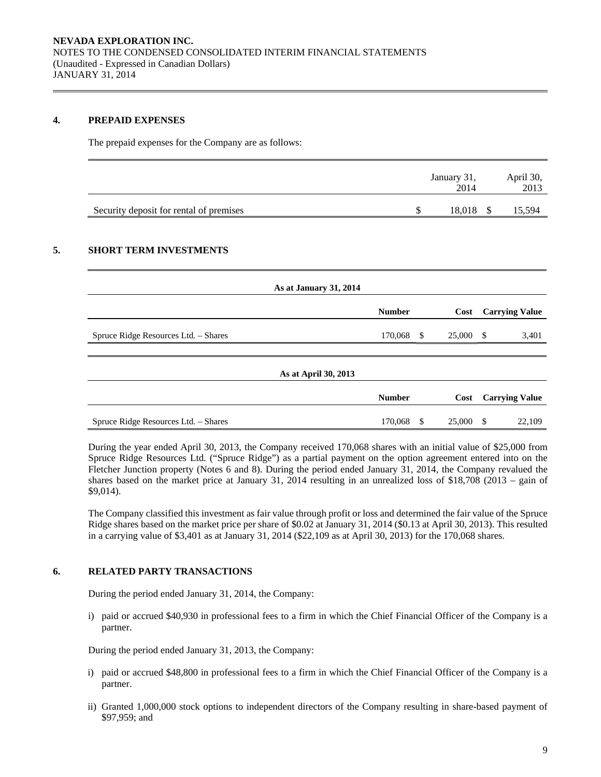### **4. PREPAID EXPENSES**

The prepaid expenses for the Company are as follows:

|                                         | January 31,<br>2014 | April 30,<br>2013 |
|-----------------------------------------|---------------------|-------------------|
| Security deposit for rental of premises | 18,018              | 15,594            |

# **5. SHORT TERM INVESTMENTS**

| As at January 31, 2014               |               |   |        |      |                       |
|--------------------------------------|---------------|---|--------|------|-----------------------|
|                                      | <b>Number</b> |   | Cost   |      | <b>Carrying Value</b> |
| Spruce Ridge Resources Ltd. - Shares | 170,068 \$    |   | 25,000 | - \$ | 3,401                 |
| As at April 30, 2013                 |               |   |        |      |                       |
|                                      | <b>Number</b> |   | Cost   |      | <b>Carrying Value</b> |
| Spruce Ridge Resources Ltd. - Shares | 170,068       | S | 25,000 | -S   | 22,109                |

During the year ended April 30, 2013, the Company received 170,068 shares with an initial value of \$25,000 from Spruce Ridge Resources Ltd. ("Spruce Ridge") as a partial payment on the option agreement entered into on the Fletcher Junction property (Notes 6 and 8). During the period ended January 31, 2014, the Company revalued the shares based on the market price at January 31, 2014 resulting in an unrealized loss of \$18,708 (2013 – gain of \$9,014).

The Company classified this investment as fair value through profit or loss and determined the fair value of the Spruce Ridge shares based on the market price per share of \$0.02 at January 31, 2014 (\$0.13 at April 30, 2013). This resulted in a carrying value of \$3,401 as at January 31, 2014 (\$22,109 as at April 30, 2013) for the 170,068 shares.

## **6. RELATED PARTY TRANSACTIONS**

During the period ended January 31, 2014, the Company:

i) paid or accrued \$40,930 in professional fees to a firm in which the Chief Financial Officer of the Company is a partner.

During the period ended January 31, 2013, the Company:

- i) paid or accrued \$48,800 in professional fees to a firm in which the Chief Financial Officer of the Company is a partner.
- ii) Granted 1,000,000 stock options to independent directors of the Company resulting in share-based payment of \$97,959; and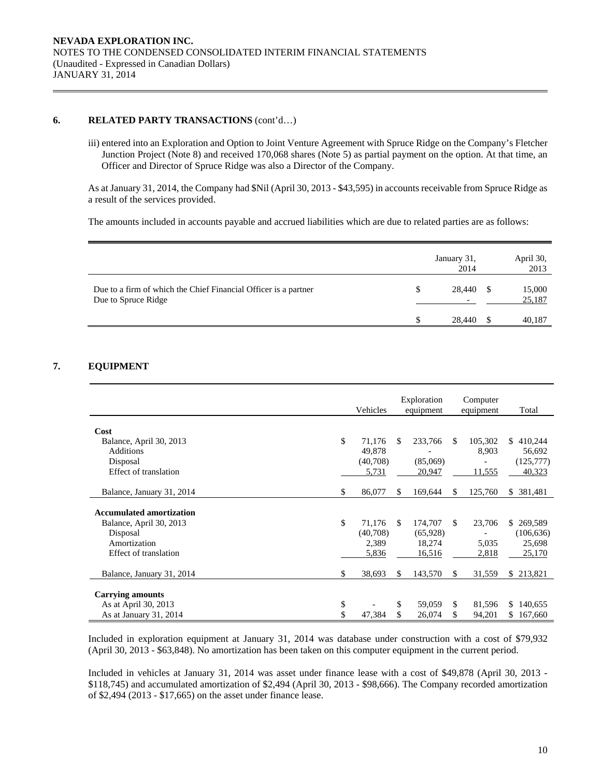### **6. RELATED PARTY TRANSACTIONS** (cont'd…)

iii) entered into an Exploration and Option to Joint Venture Agreement with Spruce Ridge on the Company's Fletcher Junction Project (Note 8) and received 170,068 shares (Note 5) as partial payment on the option. At that time, an Officer and Director of Spruce Ridge was also a Director of the Company.

As at January 31, 2014, the Company had \$Nil (April 30, 2013 - \$43,595) in accounts receivable from Spruce Ridge as a result of the services provided.

The amounts included in accounts payable and accrued liabilities which are due to related parties are as follows:

|                                                                                        | January 31,<br>2014                | April 30,<br>2013 |
|----------------------------------------------------------------------------------------|------------------------------------|-------------------|
| Due to a firm of which the Chief Financial Officer is a partner<br>Due to Spruce Ridge | 28,440<br>$\overline{\phantom{0}}$ | 15,000<br>25,187  |
|                                                                                        | 28,440                             | 40.187            |

# **7. EQUIPMENT**

|                                 |     | Vehicles |     | Exploration<br>equipment |     | Computer<br>equipment | Total          |
|---------------------------------|-----|----------|-----|--------------------------|-----|-----------------------|----------------|
|                                 |     |          |     |                          |     |                       |                |
| Cost                            |     |          |     |                          |     |                       |                |
| Balance, April 30, 2013         | \$. | 71,176   | S.  | 233,766                  | S   | 105,302               | \$410,244      |
| <b>Additions</b>                |     | 49,878   |     |                          |     | 8,903                 | 56,692         |
| Disposal                        |     | (40,708) |     | (85,069)                 |     |                       | (125,777)      |
| Effect of translation           |     | 5,731    |     | 20,947                   |     | 11,555                | 40,323         |
|                                 |     |          |     |                          |     |                       |                |
| Balance, January 31, 2014       | \$  | 86,077   | \$  | 169,644                  | \$  | 125,760               | 381,481<br>S.  |
|                                 |     |          |     |                          |     |                       |                |
| <b>Accumulated amortization</b> |     |          |     |                          |     |                       |                |
| Balance, April 30, 2013         | \$  | 71.176   | \$. | 174,707                  | \$. | 23,706                | \$269,589      |
| Disposal                        |     | (40,708) |     | (65,928)                 |     |                       | (106, 636)     |
| Amortization                    |     | 2,389    |     | 18,274                   |     | 5,035                 | 25,698         |
| Effect of translation           |     | 5,836    |     | 16,516                   |     | 2,818                 | 25,170         |
|                                 |     |          |     |                          |     |                       |                |
| Balance, January 31, 2014       | \$  | 38,693   | \$  | 143,570                  | \$  | 31,559                | \$213,821      |
|                                 |     |          |     |                          |     |                       |                |
| <b>Carrying amounts</b>         |     |          |     |                          |     |                       |                |
| As at April 30, 2013            | \$  |          | \$  | 59,059                   | \$  | 81,596                | \$140,655      |
| As at January 31, 2014          | \$  | 47,384   | \$  | 26,074                   | \$  | 94,201                | 167,660<br>\$. |

Included in exploration equipment at January 31, 2014 was database under construction with a cost of \$79,932 (April 30, 2013 - \$63,848). No amortization has been taken on this computer equipment in the current period.

Included in vehicles at January 31, 2014 was asset under finance lease with a cost of \$49,878 (April 30, 2013 - \$118,745) and accumulated amortization of \$2,494 (April 30, 2013 - \$98,666). The Company recorded amortization of \$2,494 (2013 - \$17,665) on the asset under finance lease.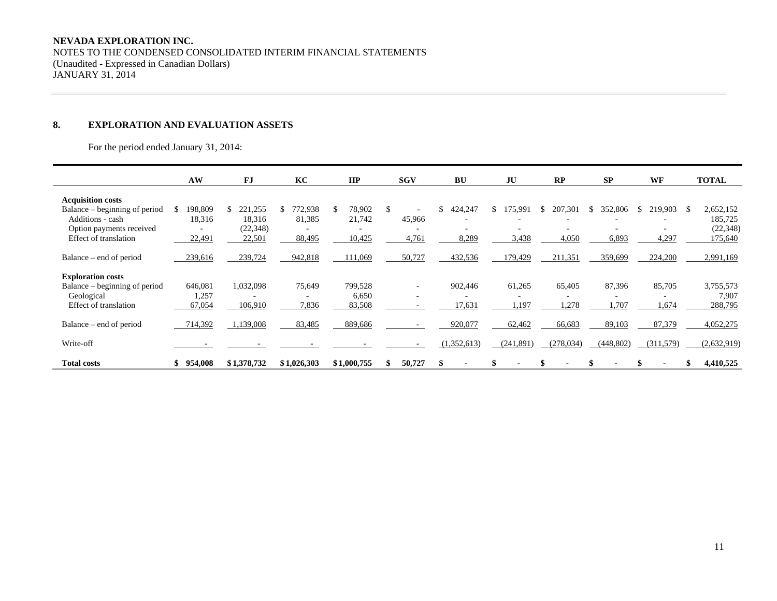#### **NEVADA EXPLORATION INC.**

NOTES TO THE CONDENSED CONSOLIDATED INTERIM FINANCIAL STATEMENTS (Unaudited - Expressed in Canadian Dollars) JANUARY 31, 2014

### **8. EXPLORATION AND EVALUATION ASSETS**

For the period ended January 31, 2014:

|                                                                                                                                    | AW                                                            | FJ                                             | KC                                                      | HP                                                     | <b>SGV</b>                                  | <b>BU</b>              | JU              | RP                    | SP                     | WF                                                 | <b>TOTAL</b>                                         |
|------------------------------------------------------------------------------------------------------------------------------------|---------------------------------------------------------------|------------------------------------------------|---------------------------------------------------------|--------------------------------------------------------|---------------------------------------------|------------------------|-----------------|-----------------------|------------------------|----------------------------------------------------|------------------------------------------------------|
| <b>Acquisition costs</b><br>Balance – beginning of period<br>Additions - cash<br>Option payments received<br>Effect of translation | 198,809<br>S.<br>18,316<br>$\overline{\phantom{a}}$<br>22,491 | 221,255<br>S.<br>18,316<br>(22, 348)<br>22,501 | 772,938<br>81,385<br>$\overline{\phantom{0}}$<br>88,495 | 78,902<br>21,742<br>$\overline{\phantom{0}}$<br>10,425 | 45,966<br>$\overline{\phantom{a}}$<br>4,761 | \$<br>424,247<br>8,289 | 15,991<br>3,438 | 207,301<br>Ж<br>4,050 | 352,806<br>Ж,<br>6,893 | 219,903<br>Ъ.<br>$\overline{\phantom{0}}$<br>4,297 | 2,652,152<br>- 55<br>185,725<br>(22, 348)<br>175,640 |
| Balance – end of period                                                                                                            | 239,616                                                       | 239,724                                        | 942,818                                                 | 111,069                                                | 50,727                                      | 432,536                | 179,429         | 211,351               | 359,699                | 224,200                                            | 2,991,169                                            |
| <b>Exploration costs</b><br>Balance – beginning of period<br>Geological<br>Effect of translation                                   | 646,081<br>1,257<br>67,054                                    | 1,032,098<br>106,910                           | 75,649<br>7,836                                         | 799,528<br>6,650<br>83,508                             |                                             | 902,446<br>17,631      | 61,265<br>1,197 | 65,405<br>1,278       | 87,396<br>1,707        | 85,705<br>-<br>1,674                               | 3,755,573<br>7,907<br>288,795                        |
| Balance – end of period                                                                                                            | 714,392                                                       | 1,139,008                                      | 83,485                                                  | 889,686                                                |                                             | 920,077                | 62,462          | 66,683                | 89,103                 | 87,379                                             | 4,052,275                                            |
| Write-off                                                                                                                          |                                                               |                                                |                                                         |                                                        |                                             | (1,352,613)            | (241, 891)      | (278, 034)            | (448, 802)             | (311,579)                                          | (2,632,919)                                          |
| <b>Total costs</b>                                                                                                                 | 954,008                                                       | \$1,378,732                                    | \$1,026,303                                             | \$1,000,755                                            | 50,727                                      |                        |                 |                       |                        |                                                    | 4,410,525                                            |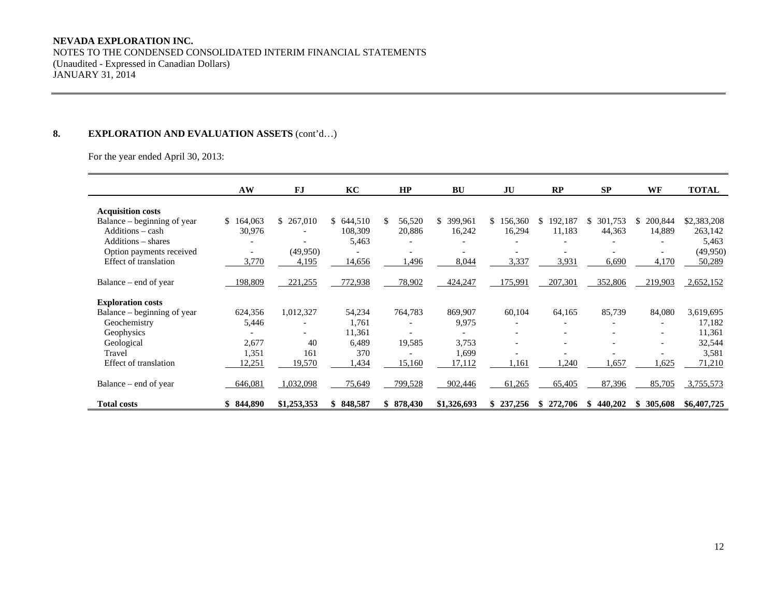#### **NEVADA EXPLORATION INC.**

NOTES TO THE CONDENSED CONSOLIDATED INTERIM FINANCIAL STATEMENTS (Unaudited - Expressed in Canadian Dollars) JANUARY 31, 2014

# 8. **EXPLORATION AND EVALUATION ASSETS** (cont'd...)

For the year ended April 30, 2013:

|                             | AW        | FJ                       | KC        | HP                       | <b>BU</b>     | JU                       | RP             | <b>SP</b>      | WF                       | <b>TOTAL</b> |
|-----------------------------|-----------|--------------------------|-----------|--------------------------|---------------|--------------------------|----------------|----------------|--------------------------|--------------|
| <b>Acquisition costs</b>    |           |                          |           |                          |               |                          |                |                |                          |              |
| Balance – beginning of year | \$164.063 | \$ 267,010               | \$644,510 | 56,520<br>S.             | 399,961<br>\$ | 156,360<br>S.            | 192,187<br>\$  | 301,753<br>\$. | 200,844<br>S.            | \$2,383,208  |
| Additions - cash            | 30,976    |                          | 108,309   | 20,886                   | 16,242        | 16,294                   | 11,183         | 44,363         | 14,889                   | 263,142      |
| Additions – shares          |           |                          | 5,463     |                          |               |                          |                |                |                          | 5,463        |
| Option payments received    |           | (49,950)                 |           |                          |               |                          |                |                |                          | (49,950)     |
| Effect of translation       | 3,770     | 4,195                    | 14,656    | .496                     | 8,044         | 3,337                    | 3,931          | 6,690          | 4,170                    | 50,289       |
| Balance – end of year       | 198,809   | 221,255                  | 772,938   | 78,902                   | 424,247       | 175,991                  | 207,301        | 352,806        | 219,903                  | 2,652,152    |
| <b>Exploration costs</b>    |           |                          |           |                          |               |                          |                |                |                          |              |
| Balance – beginning of year | 624,356   | 1,012,327                | 54,234    | 764,783                  | 869,907       | 60,104                   | 64,165         | 85,739         | 84,080                   | 3,619,695    |
| Geochemistry                | 5,446     |                          | 1,761     | $\overline{\phantom{0}}$ | 9,975         |                          |                |                | $\overline{a}$           | 17,182       |
| Geophysics                  |           | $\overline{\phantom{0}}$ | 11,361    |                          |               |                          |                |                | $\overline{\phantom{0}}$ | 11,361       |
| Geological                  | 2,677     | 40                       | 6.489     | 19,585                   | 3.753         | $\overline{\phantom{0}}$ |                |                | $\overline{a}$           | 32,544       |
| Travel                      | 1,351     | 161                      | 370       |                          | 1,699         |                          |                |                |                          | 3,581        |
| Effect of translation       | 12,251    | 19,570                   | ,434      | 15,160                   | 17,112        | 1,161                    | ,240           | 1,657          | 1,625                    | 71,210       |
| Balance – end of year       | 646,081   | 1,032,098                | 75,649    | 799,528                  | 902,446       | 61,265                   | 65,405         | 87,396         | 85,705                   | 3,755,573    |
| <b>Total costs</b>          | \$844,890 | \$1,253,353              | \$848,587 | \$878,430                | \$1,326,693   | 237,256<br>\$.           | 272,706<br>SS. | 440,202<br>-SS | \$305,608                | \$6,407,725  |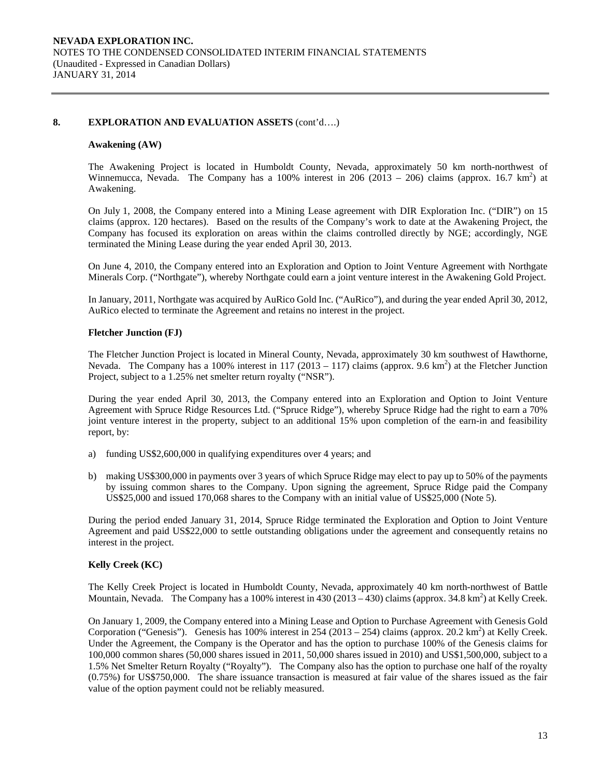#### **8. EXPLORATION AND EVALUATION ASSETS** (cont'd….)

#### **Awakening (AW)**

The Awakening Project is located in Humboldt County, Nevada, approximately 50 km north-northwest of Winnemucca, Nevada. The Company has a 100% interest in 206 (2013 – 206) claims (approx. 16.7 km<sup>2</sup>) at Awakening.

On July 1, 2008, the Company entered into a Mining Lease agreement with DIR Exploration Inc. ("DIR") on 15 claims (approx. 120 hectares). Based on the results of the Company's work to date at the Awakening Project, the Company has focused its exploration on areas within the claims controlled directly by NGE; accordingly, NGE terminated the Mining Lease during the year ended April 30, 2013.

On June 4, 2010, the Company entered into an Exploration and Option to Joint Venture Agreement with Northgate Minerals Corp. ("Northgate"), whereby Northgate could earn a joint venture interest in the Awakening Gold Project.

In January, 2011, Northgate was acquired by AuRico Gold Inc. ("AuRico"), and during the year ended April 30, 2012, AuRico elected to terminate the Agreement and retains no interest in the project.

#### **Fletcher Junction (FJ)**

The Fletcher Junction Project is located in Mineral County, Nevada, approximately 30 km southwest of Hawthorne, Nevada. The Company has a 100% interest in 117 (2013 – 117) claims (approx. 9.6 km<sup>2</sup>) at the Fletcher Junction Project, subject to a 1.25% net smelter return royalty ("NSR").

During the year ended April 30, 2013, the Company entered into an Exploration and Option to Joint Venture Agreement with Spruce Ridge Resources Ltd. ("Spruce Ridge"), whereby Spruce Ridge had the right to earn a 70% joint venture interest in the property, subject to an additional 15% upon completion of the earn-in and feasibility report, by:

- a) funding US\$2,600,000 in qualifying expenditures over 4 years; and
- b) making US\$300,000 in payments over 3 years of which Spruce Ridge may elect to pay up to 50% of the payments by issuing common shares to the Company. Upon signing the agreement, Spruce Ridge paid the Company US\$25,000 and issued 170,068 shares to the Company with an initial value of US\$25,000 (Note 5).

During the period ended January 31, 2014, Spruce Ridge terminated the Exploration and Option to Joint Venture Agreement and paid US\$22,000 to settle outstanding obligations under the agreement and consequently retains no interest in the project.

## **Kelly Creek (KC)**

The Kelly Creek Project is located in Humboldt County, Nevada, approximately 40 km north-northwest of Battle Mountain, Nevada. The Company has a 100% interest in  $430(2013 - 430)$  claims (approx. 34.8 km<sup>2</sup>) at Kelly Creek.

On January 1, 2009, the Company entered into a Mining Lease and Option to Purchase Agreement with Genesis Gold Corporation ("Genesis"). Genesis has 100% interest in 254 (2013 – 254) claims (approx. 20.2 km<sup>2</sup>) at Kelly Creek. Under the Agreement, the Company is the Operator and has the option to purchase 100% of the Genesis claims for 100,000 common shares (50,000 shares issued in 2011, 50,000 shares issued in 2010) and US\$1,500,000, subject to a 1.5% Net Smelter Return Royalty ("Royalty"). The Company also has the option to purchase one half of the royalty (0.75%) for US\$750,000. The share issuance transaction is measured at fair value of the shares issued as the fair value of the option payment could not be reliably measured.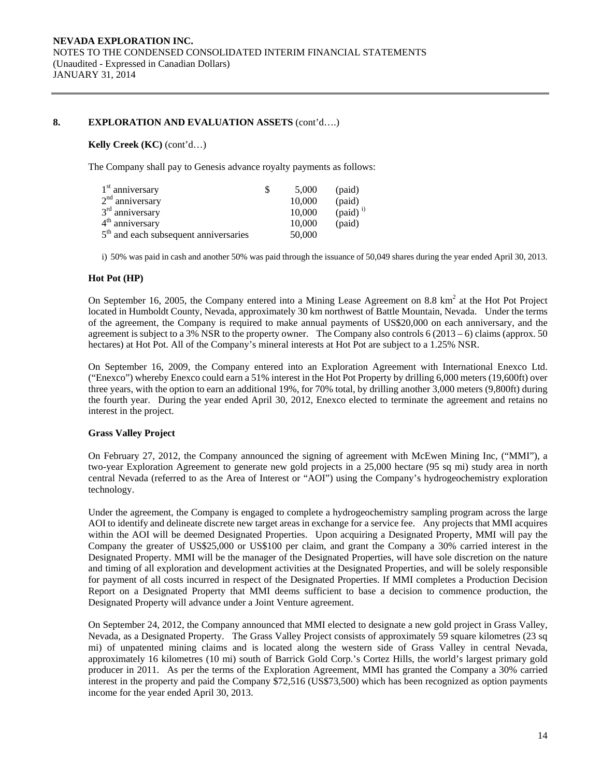## **8. EXPLORATION AND EVALUATION ASSETS** (cont'd….)

#### **Kelly Creek (KC)** (cont'd…)

The Company shall pay to Genesis advance royalty payments as follows:

| $1st$ anniversary                       | 5.000  | (paid)               |
|-----------------------------------------|--------|----------------------|
| 2 <sup>nd</sup> anniversary             | 10,000 | (paid)               |
| 3 <sup>rd</sup> anniversary             | 10,000 | (paid) <sup>i)</sup> |
| 4 <sup>th</sup> anniversary             | 10,000 | (paid)               |
| $5th$ and each subsequent anniversaries | 50,000 |                      |

i) 50% was paid in cash and another 50% was paid through the issuance of 50,049 shares during the year ended April 30, 2013.

### **Hot Pot (HP)**

On September 16, 2005, the Company entered into a Mining Lease Agreement on 8.8  $km^2$  at the Hot Project located in Humboldt County, Nevada, approximately 30 km northwest of Battle Mountain, Nevada. Under the terms of the agreement, the Company is required to make annual payments of US\$20,000 on each anniversary, and the agreement is subject to a 3% NSR to the property owner. The Company also controls  $6(2013-6)$  claims (approx. 50) hectares) at Hot Pot. All of the Company's mineral interests at Hot Pot are subject to a 1.25% NSR.

On September 16, 2009, the Company entered into an Exploration Agreement with International Enexco Ltd. ("Enexco") whereby Enexco could earn a 51% interest in the Hot Pot Property by drilling 6,000 meters (19,600ft) over three years, with the option to earn an additional 19%, for 70% total, by drilling another 3,000 meters (9,800ft) during the fourth year. During the year ended April 30, 2012, Enexco elected to terminate the agreement and retains no interest in the project.

## **Grass Valley Project**

On February 27, 2012, the Company announced the signing of agreement with McEwen Mining Inc, ("MMI"), a two-year Exploration Agreement to generate new gold projects in a 25,000 hectare (95 sq mi) study area in north central Nevada (referred to as the Area of Interest or "AOI") using the Company's hydrogeochemistry exploration technology.

Under the agreement, the Company is engaged to complete a hydrogeochemistry sampling program across the large AOI to identify and delineate discrete new target areas in exchange for a service fee. Any projects that MMI acquires within the AOI will be deemed Designated Properties. Upon acquiring a Designated Property, MMI will pay the Company the greater of US\$25,000 or US\$100 per claim, and grant the Company a 30% carried interest in the Designated Property. MMI will be the manager of the Designated Properties, will have sole discretion on the nature and timing of all exploration and development activities at the Designated Properties, and will be solely responsible for payment of all costs incurred in respect of the Designated Properties. If MMI completes a Production Decision Report on a Designated Property that MMI deems sufficient to base a decision to commence production, the Designated Property will advance under a Joint Venture agreement.

On September 24, 2012, the Company announced that MMI elected to designate a new gold project in Grass Valley, Nevada, as a Designated Property. The Grass Valley Project consists of approximately 59 square kilometres (23 sq mi) of unpatented mining claims and is located along the western side of Grass Valley in central Nevada, approximately 16 kilometres (10 mi) south of Barrick Gold Corp.'s Cortez Hills, the world's largest primary gold producer in 2011. As per the terms of the Exploration Agreement, MMI has granted the Company a 30% carried interest in the property and paid the Company \$72,516 (US\$73,500) which has been recognized as option payments income for the year ended April 30, 2013.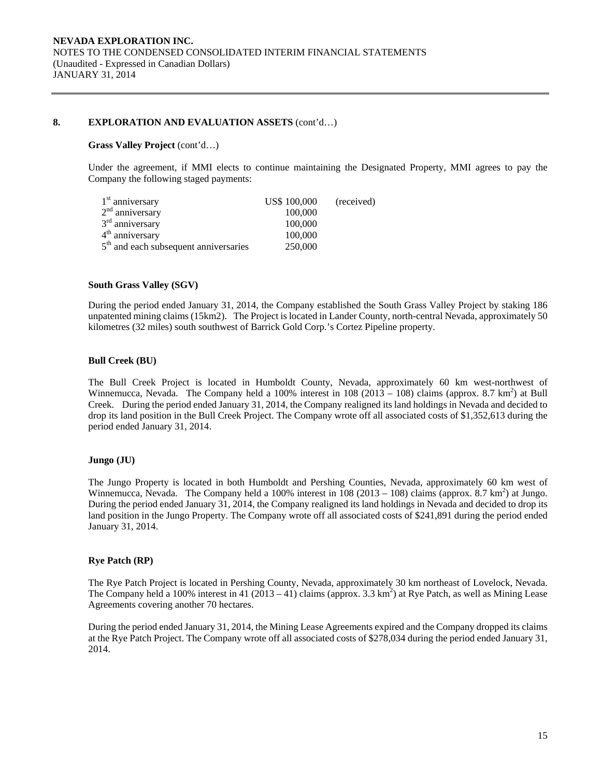#### **8. EXPLORATION AND EVALUATION ASSETS** (cont'd…)

#### **Grass Valley Project** (cont'd…)

Under the agreement, if MMI elects to continue maintaining the Designated Property, MMI agrees to pay the Company the following staged payments:

| $1st$ anniversary                                 | US\$ 100,000 | (received) |
|---------------------------------------------------|--------------|------------|
| $2nd$ anniversary                                 | 100,000      |            |
| $3rd$ anniversary                                 | 100,000      |            |
| 4 <sup>th</sup> anniversary                       | 100,000      |            |
| 5 <sup>th</sup> and each subsequent anniversaries | 250,000      |            |

#### **South Grass Valley (SGV)**

During the period ended January 31, 2014, the Company established the South Grass Valley Project by staking 186 unpatented mining claims (15km2). The Project is located in Lander County, north-central Nevada, approximately 50 kilometres (32 miles) south southwest of Barrick Gold Corp.'s Cortez Pipeline property.

#### **Bull Creek (BU)**

The Bull Creek Project is located in Humboldt County, Nevada, approximately 60 km west-northwest of Winnemucca, Nevada. The Company held a 100% interest in 108  $(2013 - 108)$  claims (approx. 8.7 km<sup>2</sup>) at Bull Creek. During the period ended January 31, 2014, the Company realigned its land holdings in Nevada and decided to drop its land position in the Bull Creek Project. The Company wrote off all associated costs of \$1,352,613 during the period ended January 31, 2014.

#### **Jungo (JU)**

The Jungo Property is located in both Humboldt and Pershing Counties, Nevada, approximately 60 km west of Winnemucca, Nevada. The Company held a 100% interest in  $\overline{108}$  (2013 – 108) claims (approx. 8.7 km<sup>2</sup>) at Jungo. During the period ended January 31, 2014, the Company realigned its land holdings in Nevada and decided to drop its land position in the Jungo Property. The Company wrote off all associated costs of \$241,891 during the period ended January 31, 2014.

#### **Rye Patch (RP)**

The Rye Patch Project is located in Pershing County, Nevada, approximately 30 km northeast of Lovelock, Nevada. The Company held a 100% interest in 41 (2013 – 41) claims (approx. 3.3 km<sup>2</sup>) at Rye Patch, as well as Mining Lease Agreements covering another 70 hectares.

During the period ended January 31, 2014, the Mining Lease Agreements expired and the Company dropped its claims at the Rye Patch Project. The Company wrote off all associated costs of \$278,034 during the period ended January 31, 2014.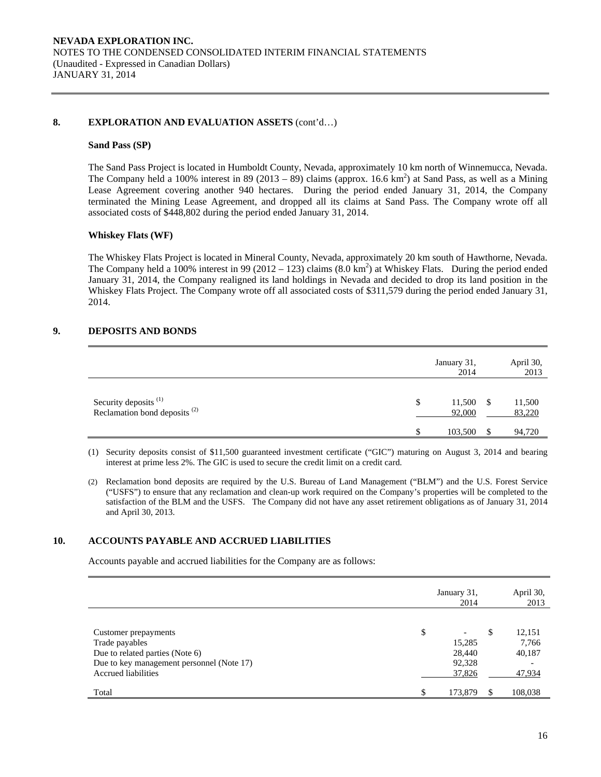#### **8. EXPLORATION AND EVALUATION ASSETS** (cont'd…)

#### **Sand Pass (SP)**

The Sand Pass Project is located in Humboldt County, Nevada, approximately 10 km north of Winnemucca, Nevada. The Company held a 100% interest in 89 (2013 – 89) claims (approx. 16.6 km<sup>2</sup>) at Sand Pass, as well as a Mining Lease Agreement covering another 940 hectares. During the period ended January 31, 2014, the Company terminated the Mining Lease Agreement, and dropped all its claims at Sand Pass. The Company wrote off all associated costs of \$448,802 during the period ended January 31, 2014.

## **Whiskey Flats (WF)**

The Whiskey Flats Project is located in Mineral County, Nevada, approximately 20 km south of Hawthorne, Nevada. The Company held a 100% interest in 99 (2012 – 123) claims  $(8.0 \text{ km}^2)$  at Whiskey Flats. During the period ended January 31, 2014, the Company realigned its land holdings in Nevada and decided to drop its land position in the Whiskey Flats Project. The Company wrote off all associated costs of \$311,579 during the period ended January 31, 2014.

## **9. DEPOSITS AND BONDS**

|                                                            | January 31,<br>2014    |      | April 30,<br>2013 |
|------------------------------------------------------------|------------------------|------|-------------------|
| Security deposits $(1)$<br>Reclamation bond deposits $(2)$ | \$<br>11,500<br>92,000 | - \$ | 11,500<br>83,220  |
|                                                            | \$<br>103,500          |      | 94,720            |

(1) Security deposits consist of \$11,500 guaranteed investment certificate ("GIC") maturing on August 3, 2014 and bearing interest at prime less 2%. The GIC is used to secure the credit limit on a credit card.

(2) Reclamation bond deposits are required by the U.S. Bureau of Land Management ("BLM") and the U.S. Forest Service ("USFS") to ensure that any reclamation and clean-up work required on the Company's properties will be completed to the satisfaction of the BLM and the USFS. The Company did not have any asset retirement obligations as of January 31, 2014 and April 30, 2013.

## **10. ACCOUNTS PAYABLE AND ACCRUED LIABILITIES**

Accounts payable and accrued liabilities for the Company are as follows:

|                                                                                                                                               |     | January 31,<br>2014                  | April 30,<br>2013                              |
|-----------------------------------------------------------------------------------------------------------------------------------------------|-----|--------------------------------------|------------------------------------------------|
| Customer prepayments<br>Trade payables<br>Due to related parties (Note 6)<br>Due to key management personnel (Note 17)<br>Accrued liabilities | \$  | 15,285<br>28,440<br>92,328<br>37,826 | \$<br>12,151<br>7,766<br>40,187<br>-<br>47,934 |
| Total                                                                                                                                         | \$. | 173,879                              | 108,038                                        |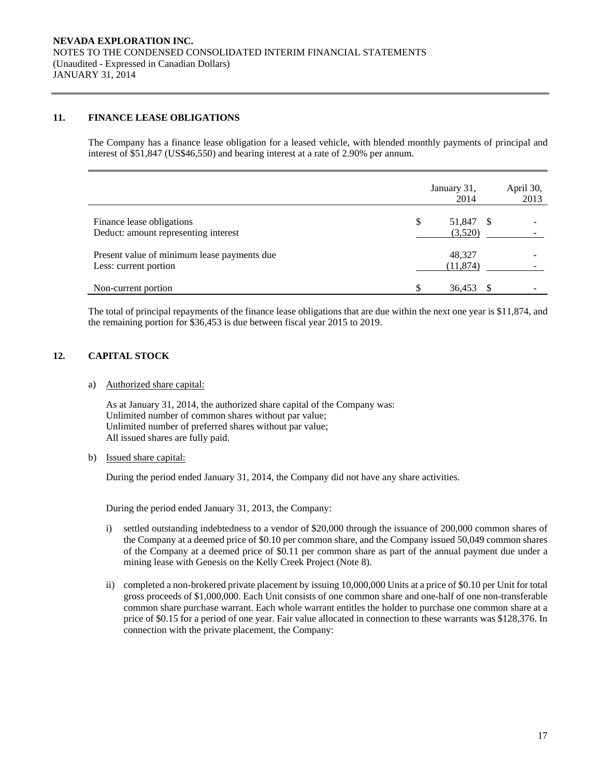## **11. FINANCE LEASE OBLIGATIONS**

The Company has a finance lease obligation for a leased vehicle, with blended monthly payments of principal and interest of \$51,847 (US\$46,550) and bearing interest at a rate of 2.90% per annum.

|                                                                      | January 31,<br>2014        | April 30,<br>2013 |
|----------------------------------------------------------------------|----------------------------|-------------------|
| Finance lease obligations<br>Deduct: amount representing interest    | \$<br>51,847 \$<br>(3,520) |                   |
| Present value of minimum lease payments due<br>Less: current portion | 48,327<br>(11, 874)        |                   |
| Non-current portion                                                  | \$<br>36,453               |                   |

The total of principal repayments of the finance lease obligations that are due within the next one year is \$11,874, and the remaining portion for \$36,453 is due between fiscal year 2015 to 2019.

# **12. CAPITAL STOCK**

a) Authorized share capital:

As at January 31, 2014, the authorized share capital of the Company was: Unlimited number of common shares without par value; Unlimited number of preferred shares without par value; All issued shares are fully paid.

b) Issued share capital:

During the period ended January 31, 2014, the Company did not have any share activities.

During the period ended January 31, 2013, the Company:

- i) settled outstanding indebtedness to a vendor of \$20,000 through the issuance of 200,000 common shares of the Company at a deemed price of \$0.10 per common share, and the Company issued 50,049 common shares of the Company at a deemed price of \$0.11 per common share as part of the annual payment due under a mining lease with Genesis on the Kelly Creek Project (Note 8).
- ii) completed a non-brokered private placement by issuing 10,000,000 Units at a price of \$0.10 per Unit for total gross proceeds of \$1,000,000. Each Unit consists of one common share and one-half of one non-transferable common share purchase warrant. Each whole warrant entitles the holder to purchase one common share at a price of \$0.15 for a period of one year. Fair value allocated in connection to these warrants was \$128,376. In connection with the private placement, the Company: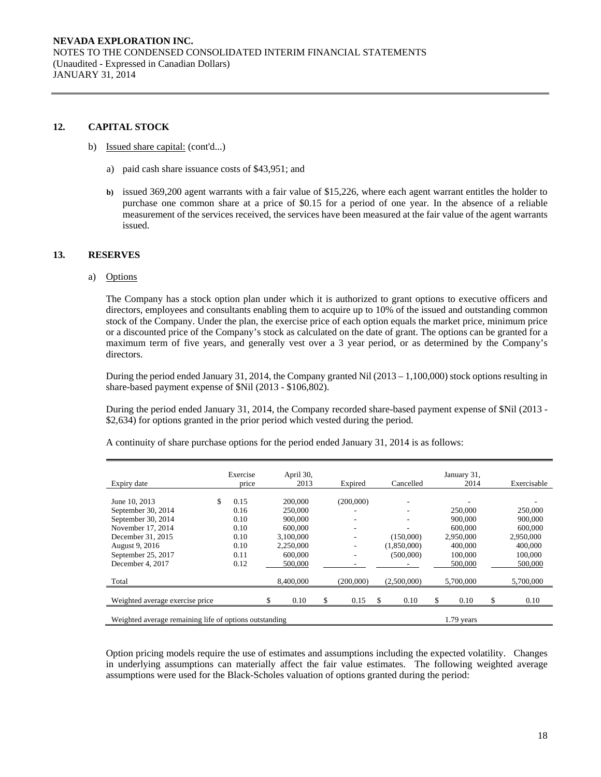## **12. CAPITAL STOCK**

- b) Issued share capital: (cont'd...)
	- a) paid cash share issuance costs of \$43,951; and
	- **b)** issued 369,200 agent warrants with a fair value of \$15,226, where each agent warrant entitles the holder to purchase one common share at a price of \$0.15 for a period of one year. In the absence of a reliable measurement of the services received, the services have been measured at the fair value of the agent warrants issued.

#### **13. RESERVES**

a) Options

The Company has a stock option plan under which it is authorized to grant options to executive officers and directors, employees and consultants enabling them to acquire up to 10% of the issued and outstanding common stock of the Company. Under the plan, the exercise price of each option equals the market price, minimum price or a discounted price of the Company's stock as calculated on the date of grant. The options can be granted for a maximum term of five years, and generally vest over a 3 year period, or as determined by the Company's directors.

During the period ended January 31, 2014, the Company granted Nil (2013 – 1,100,000) stock options resulting in share-based payment expense of \$Nil (2013 - \$106,802).

During the period ended January 31, 2014, the Company recorded share-based payment expense of \$Nil (2013 - \$2,634) for options granted in the prior period which vested during the period.

| Expiry date                                            | Exercise<br>price | April 30,<br>2013 | Expired    | Cancelled   | January 31,<br>2014 | Exercisable |
|--------------------------------------------------------|-------------------|-------------------|------------|-------------|---------------------|-------------|
| June 10, 2013                                          | 0.15              | 200,000           | (200,000)  |             |                     |             |
| September 30, 2014                                     | 0.16              | 250,000           |            |             | 250,000             | 250,000     |
| September 30, 2014                                     | 0.10              | 900,000           |            |             | 900,000             | 900,000     |
| November 17, 2014                                      | 0.10              | 600,000           |            |             | 600,000             | 600,000     |
| December 31, 2015                                      | 0.10              | 3.100.000         |            | (150,000)   | 2,950,000           | 2.950,000   |
| August 9, 2016                                         | 0.10              | 2,250,000         |            | (1,850,000) | 400,000             | 400,000     |
| September 25, 2017                                     | 0.11              | 600,000           |            | (500,000)   | 100,000             | 100,000     |
| December 4, 2017                                       | 0.12              | 500,000           |            |             | 500,000             | 500,000     |
| Total                                                  |                   | 8,400,000         | (200,000)  | (2,500,000) | 5,700,000           | 5,700,000   |
| Weighted average exercise price                        |                   | 0.10              | \$<br>0.15 | \$<br>0.10  | \$<br>0.10          | \$<br>0.10  |
| Weighted average remaining life of options outstanding |                   |                   |            |             | $1.79$ years        |             |

A continuity of share purchase options for the period ended January 31, 2014 is as follows:

Option pricing models require the use of estimates and assumptions including the expected volatility. Changes in underlying assumptions can materially affect the fair value estimates. The following weighted average assumptions were used for the Black-Scholes valuation of options granted during the period: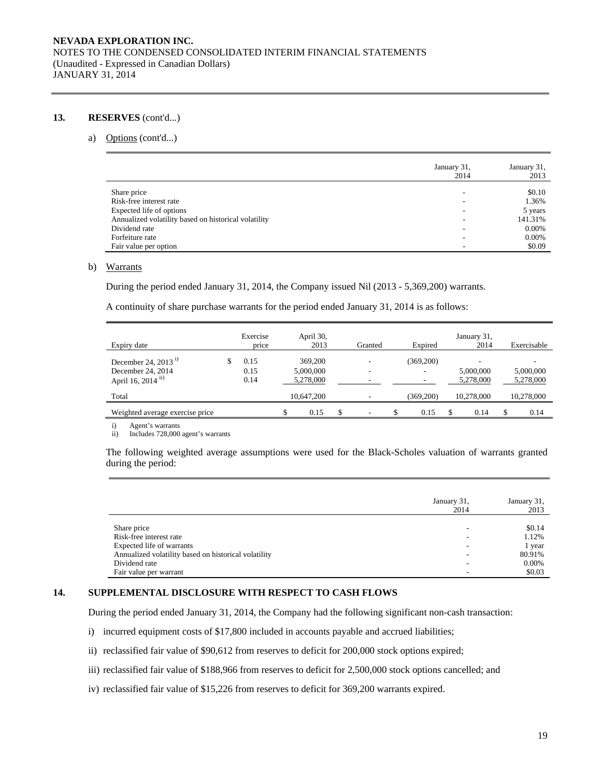### **13. RESERVES** (cont'd...)

#### a) Options (cont'd...)

|                                                      | January 31,<br>2014 | January 31,<br>2013 |
|------------------------------------------------------|---------------------|---------------------|
| Share price                                          | -                   | \$0.10              |
| Risk-free interest rate                              | ۰                   | 1.36%               |
| Expected life of options                             |                     | 5 years             |
| Annualized volatility based on historical volatility |                     | 141.31%             |
| Dividend rate                                        | -                   | 0.00%               |
| Forfeiture rate                                      | ۰                   | 0.00%               |
| Fair value per option                                |                     | \$0.09              |

#### b) Warrants

During the period ended January 31, 2014, the Company issued Nil (2013 - 5,369,200) warrants.

A continuity of share purchase warrants for the period ended January 31, 2014 is as follows:

| Expiry date                                                         | Exercise<br>price    | April 30,<br>2013                 | Granted | Expired    | January 31,<br>2014    | Exercisable            |
|---------------------------------------------------------------------|----------------------|-----------------------------------|---------|------------|------------------------|------------------------|
| December 24, 2013 $^{i}$<br>December 24, 2014<br>April 16, 2014 ii) | 0.15<br>0.15<br>0.14 | 369,200<br>5,000,000<br>5,278,000 |         | (369,200)  | 5,000,000<br>5,278,000 | 5,000,000<br>5,278,000 |
| Total                                                               |                      | 10.647.200                        |         | (369, 200) | 10.278,000             | 10.278,000             |
| Weighted average exercise price                                     |                      | 0.15                              |         | 0.15       | 0.14                   | 0.14                   |

i) Agent's warrants

ii) Includes 728,000 agent's warrants

The following weighted average assumptions were used for the Black-Scholes valuation of warrants granted during the period:

|                                                      | January 31,<br>2014 | January 31,<br>2013 |
|------------------------------------------------------|---------------------|---------------------|
|                                                      |                     |                     |
| Share price                                          |                     | \$0.14              |
| Risk-free interest rate                              |                     | 1.12%               |
| Expected life of warrants                            |                     | 1 year              |
| Annualized volatility based on historical volatility |                     | 80.91%              |
| Dividend rate                                        |                     | $0.00\%$            |
| Fair value per warrant                               |                     | \$0.03              |

#### **14. SUPPLEMENTAL DISCLOSURE WITH RESPECT TO CASH FLOWS**

During the period ended January 31, 2014, the Company had the following significant non-cash transaction:

- i) incurred equipment costs of \$17,800 included in accounts payable and accrued liabilities;
- ii) reclassified fair value of \$90,612 from reserves to deficit for 200,000 stock options expired;
- iii) reclassified fair value of \$188,966 from reserves to deficit for 2,500,000 stock options cancelled; and
- iv) reclassified fair value of \$15,226 from reserves to deficit for 369,200 warrants expired.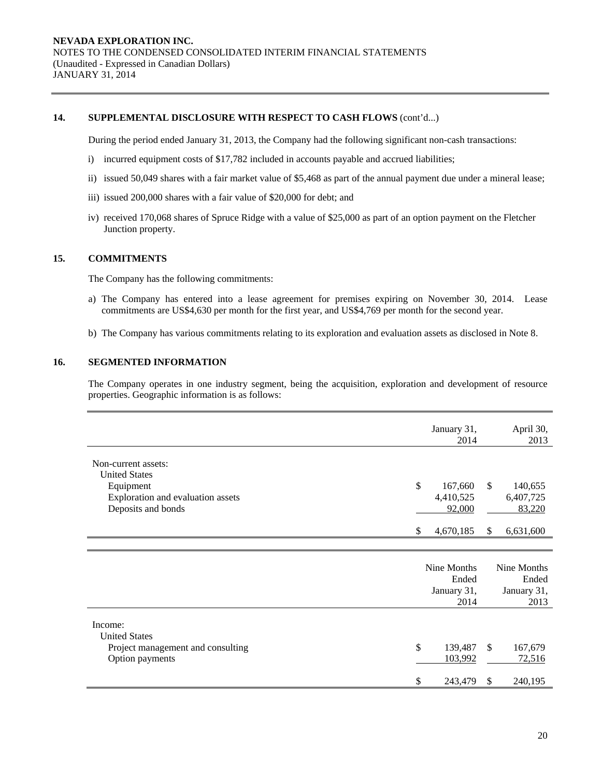## **14. SUPPLEMENTAL DISCLOSURE WITH RESPECT TO CASH FLOWS** (cont'd...)

During the period ended January 31, 2013, the Company had the following significant non-cash transactions:

- i) incurred equipment costs of \$17,782 included in accounts payable and accrued liabilities;
- ii) issued 50,049 shares with a fair market value of \$5,468 as part of the annual payment due under a mineral lease;
- iii) issued 200,000 shares with a fair value of \$20,000 for debt; and
- iv) received 170,068 shares of Spruce Ridge with a value of \$25,000 as part of an option payment on the Fletcher Junction property.

## **15. COMMITMENTS**

The Company has the following commitments:

- a) The Company has entered into a lease agreement for premises expiring on November 30, 2014. Lease commitments are US\$4,630 per month for the first year, and US\$4,769 per month for the second year.
- b) The Company has various commitments relating to its exploration and evaluation assets as disclosed in Note 8.

# **16. SEGMENTED INFORMATION**

The Company operates in one industry segment, being the acquisition, exploration and development of resource properties. Geographic information is as follows:

|                                                | January 31,<br>2014        |               |                      |  |
|------------------------------------------------|----------------------------|---------------|----------------------|--|
| Non-current assets:<br><b>United States</b>    |                            |               |                      |  |
| Equipment<br>Exploration and evaluation assets | \$<br>167,660<br>4,410,525 | $\mathbb{S}$  | 140,655<br>6,407,725 |  |
| Deposits and bonds                             | 92,000                     |               | 83,220               |  |
|                                                | 4,670,185<br>\$            | <sup>\$</sup> | 6,631,600            |  |
|                                                |                            |               |                      |  |
|                                                | Nine Months                |               | Nine Months          |  |
|                                                | Ended<br>January 31,       |               | Ended<br>January 31, |  |
|                                                | 2014                       |               | 2013                 |  |
| Income:<br><b>United States</b>                |                            |               |                      |  |
| Project management and consulting              | $\mathcal{S}$<br>139,487   | <sup>\$</sup> | 167,679              |  |
| Option payments                                | 103,992                    |               | 72,516               |  |
|                                                | \$<br>243,479              | <sup>\$</sup> | 240,195              |  |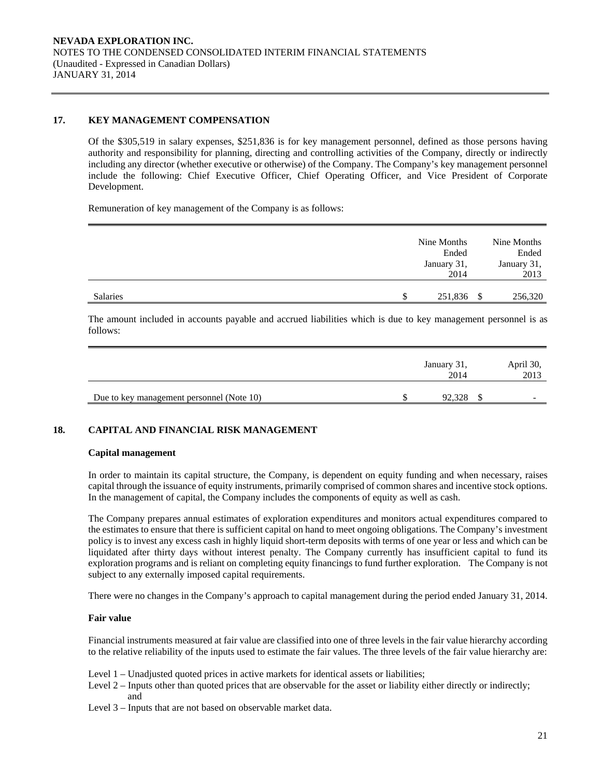### **17. KEY MANAGEMENT COMPENSATION**

Of the \$305,519 in salary expenses, \$251,836 is for key management personnel, defined as those persons having authority and responsibility for planning, directing and controlling activities of the Company, directly or indirectly including any director (whether executive or otherwise) of the Company. The Company's key management personnel include the following: Chief Executive Officer, Chief Operating Officer, and Vice President of Corporate Development.

Remuneration of key management of the Company is as follows:

|                 | Nine Months<br>Ended | Nine Months<br>Ended |
|-----------------|----------------------|----------------------|
|                 | January 31,<br>2014  | January 31,<br>2013  |
|                 |                      |                      |
| <b>Salaries</b> | 251,836              | 256,320              |

The amount included in accounts payable and accrued liabilities which is due to key management personnel is as follows:

|                                           | January 31,<br>2014 | April 30,<br>2013 |
|-------------------------------------------|---------------------|-------------------|
| Due to key management personnel (Note 10) | 92,328              |                   |

## **18. CAPITAL AND FINANCIAL RISK MANAGEMENT**

#### **Capital management**

In order to maintain its capital structure, the Company, is dependent on equity funding and when necessary, raises capital through the issuance of equity instruments, primarily comprised of common shares and incentive stock options. In the management of capital, the Company includes the components of equity as well as cash.

The Company prepares annual estimates of exploration expenditures and monitors actual expenditures compared to the estimates to ensure that there is sufficient capital on hand to meet ongoing obligations. The Company's investment policy is to invest any excess cash in highly liquid short-term deposits with terms of one year or less and which can be liquidated after thirty days without interest penalty. The Company currently has insufficient capital to fund its exploration programs and is reliant on completing equity financings to fund further exploration. The Company is not subject to any externally imposed capital requirements.

There were no changes in the Company's approach to capital management during the period ended January 31, 2014.

#### **Fair value**

Financial instruments measured at fair value are classified into one of three levels in the fair value hierarchy according to the relative reliability of the inputs used to estimate the fair values. The three levels of the fair value hierarchy are:

- Level 1 Unadjusted quoted prices in active markets for identical assets or liabilities;
- Level 2 Inputs other than quoted prices that are observable for the asset or liability either directly or indirectly; and
- Level 3 Inputs that are not based on observable market data.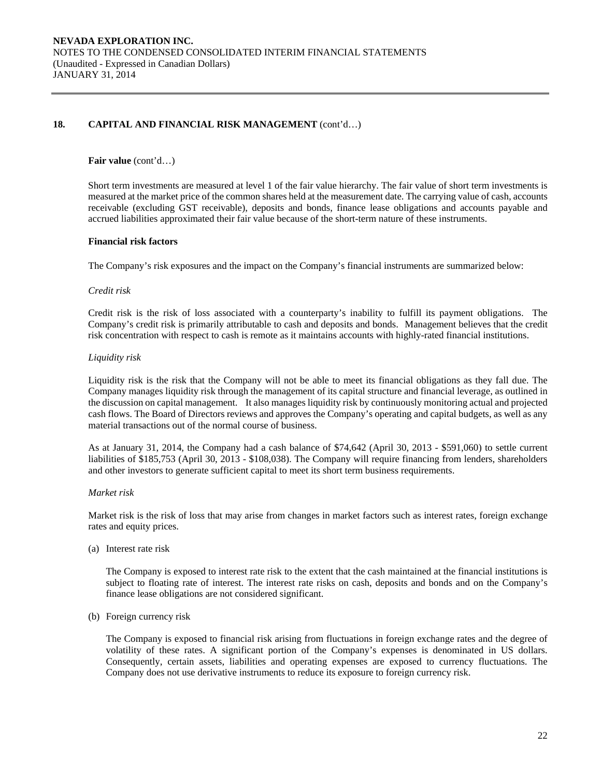## 18. CAPITAL AND FINANCIAL RISK MANAGEMENT (cont'd...)

#### **Fair value** (cont'd…)

Short term investments are measured at level 1 of the fair value hierarchy. The fair value of short term investments is measured at the market price of the common shares held at the measurement date. The carrying value of cash, accounts receivable (excluding GST receivable), deposits and bonds, finance lease obligations and accounts payable and accrued liabilities approximated their fair value because of the short-term nature of these instruments.

#### **Financial risk factors**

The Company's risk exposures and the impact on the Company's financial instruments are summarized below:

#### *Credit risk*

 Credit risk is the risk of loss associated with a counterparty's inability to fulfill its payment obligations. The Company's credit risk is primarily attributable to cash and deposits and bonds. Management believes that the credit risk concentration with respect to cash is remote as it maintains accounts with highly-rated financial institutions.

#### *Liquidity risk*

Liquidity risk is the risk that the Company will not be able to meet its financial obligations as they fall due. The Company manages liquidity risk through the management of its capital structure and financial leverage, as outlined in the discussion on capital management. It also manages liquidity risk by continuously monitoring actual and projected cash flows. The Board of Directors reviews and approves the Company's operating and capital budgets, as well as any material transactions out of the normal course of business.

As at January 31, 2014, the Company had a cash balance of \$74,642 (April 30, 2013 - \$591,060) to settle current liabilities of \$185,753 (April 30, 2013 - \$108,038). The Company will require financing from lenders, shareholders and other investors to generate sufficient capital to meet its short term business requirements.

#### *Market risk*

Market risk is the risk of loss that may arise from changes in market factors such as interest rates, foreign exchange rates and equity prices.

(a) Interest rate risk

 The Company is exposed to interest rate risk to the extent that the cash maintained at the financial institutions is subject to floating rate of interest. The interest rate risks on cash, deposits and bonds and on the Company's finance lease obligations are not considered significant.

(b) Foreign currency risk

The Company is exposed to financial risk arising from fluctuations in foreign exchange rates and the degree of volatility of these rates. A significant portion of the Company's expenses is denominated in US dollars. Consequently, certain assets, liabilities and operating expenses are exposed to currency fluctuations. The Company does not use derivative instruments to reduce its exposure to foreign currency risk.